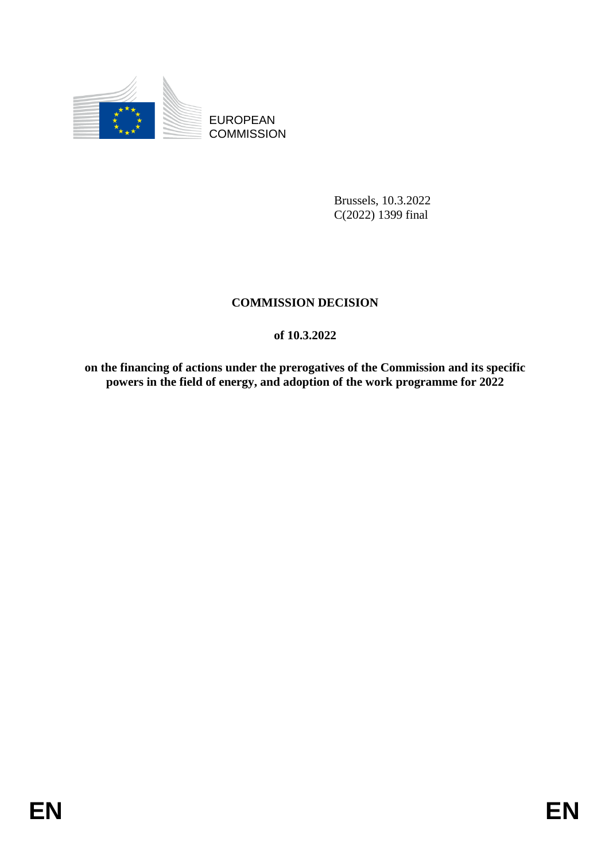

EUROPEAN **COMMISSION** 

> Brussels, 10.3.2022 C(2022) 1399 final

# **COMMISSION DECISION**

# **of 10.3.2022**

**on the financing of actions under the prerogatives of the Commission and its specific powers in the field of energy, and adoption of the work programme for 2022**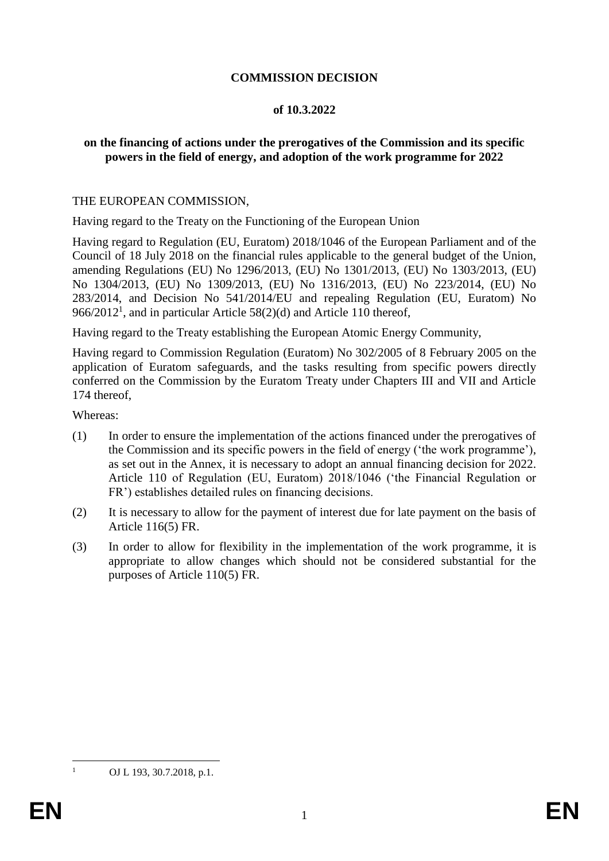## **COMMISSION DECISION**

#### **of 10.3.2022**

## **on the financing of actions under the prerogatives of the Commission and its specific powers in the field of energy, and adoption of the work programme for 2022**

#### THE EUROPEAN COMMISSION,

Having regard to the Treaty on the Functioning of the European Union

Having regard to Regulation (EU, Euratom) 2018/1046 of the European Parliament and of the Council of 18 July 2018 on the financial rules applicable to the general budget of the Union, amending Regulations (EU) No 1296/2013, (EU) No 1301/2013, (EU) No 1303/2013, (EU) No 1304/2013, (EU) No 1309/2013, (EU) No 1316/2013, (EU) No 223/2014, (EU) No 283/2014, and Decision No 541/2014/EU and repealing Regulation (EU, Euratom) No 966/2012<sup>1</sup>, and in particular Article 58(2)(d) and Article 110 thereof,

Having regard to the Treaty establishing the European Atomic Energy Community,

Having regard to Commission Regulation (Euratom) No 302/2005 of 8 February 2005 on the application of Euratom safeguards, and the tasks resulting from specific powers directly conferred on the Commission by the Euratom Treaty under Chapters III and VII and Article 174 thereof,

Whereas:

- (1) In order to ensure the implementation of the actions financed under the prerogatives of the Commission and its specific powers in the field of energy ('the work programme'), as set out in the Annex, it is necessary to adopt an annual financing decision for 2022. Article 110 of Regulation (EU, Euratom) 2018/1046 ('the Financial Regulation or FR') establishes detailed rules on financing decisions.
- (2) It is necessary to allow for the payment of interest due for late payment on the basis of Article 116(5) FR.
- (3) In order to allow for flexibility in the implementation of the work programme, it is appropriate to allow changes which should not be considered substantial for the purposes of Article 110(5) FR.

<u>.</u>

OJ L 193, 30.7.2018, p.1.